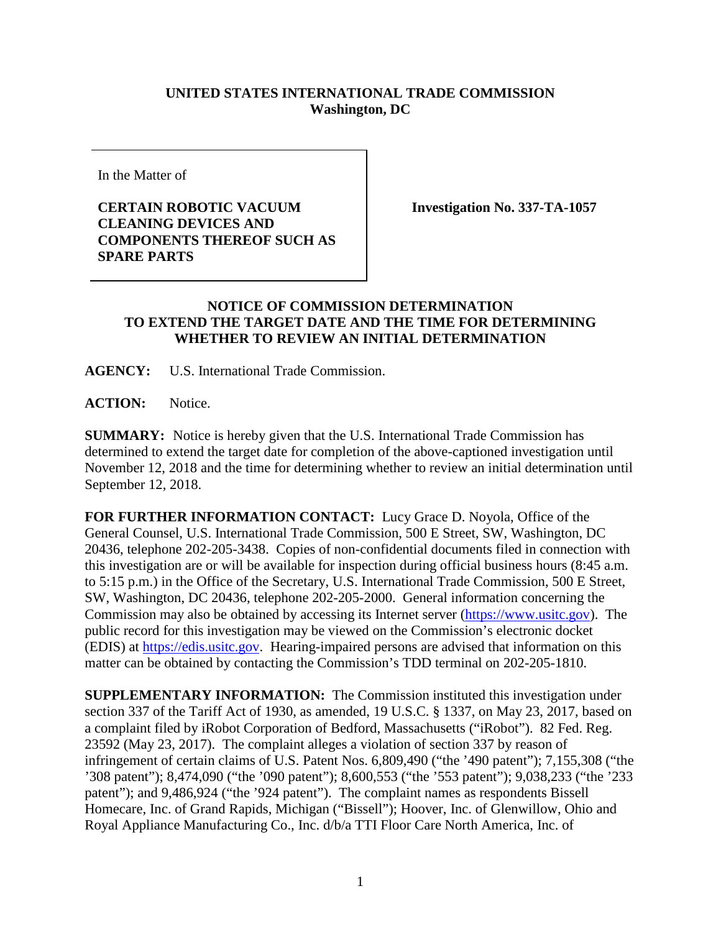## **UNITED STATES INTERNATIONAL TRADE COMMISSION Washington, DC**

In the Matter of

## **CERTAIN ROBOTIC VACUUM CLEANING DEVICES AND COMPONENTS THEREOF SUCH AS SPARE PARTS**

**Investigation No. 337-TA-1057**

## **NOTICE OF COMMISSION DETERMINATION TO EXTEND THE TARGET DATE AND THE TIME FOR DETERMINING WHETHER TO REVIEW AN INITIAL DETERMINATION**

**AGENCY:** U.S. International Trade Commission.

**ACTION:** Notice.

**SUMMARY:** Notice is hereby given that the U.S. International Trade Commission has determined to extend the target date for completion of the above-captioned investigation until November 12, 2018 and the time for determining whether to review an initial determination until September 12, 2018.

**FOR FURTHER INFORMATION CONTACT:** Lucy Grace D. Noyola, Office of the General Counsel, U.S. International Trade Commission, 500 E Street, SW, Washington, DC 20436, telephone 202-205-3438. Copies of non-confidential documents filed in connection with this investigation are or will be available for inspection during official business hours (8:45 a.m. to 5:15 p.m.) in the Office of the Secretary, U.S. International Trade Commission, 500 E Street, SW, Washington, DC 20436, telephone 202-205-2000. General information concerning the Commission may also be obtained by accessing its Internet server [\(https://www.usitc.gov\)](http://www.usitc.gov/). The public record for this investigation may be viewed on the Commission's electronic docket (EDIS) at [https://edis.usitc.gov.](http://edis.usitc.gov/) Hearing-impaired persons are advised that information on this matter can be obtained by contacting the Commission's TDD terminal on 202-205-1810.

**SUPPLEMENTARY INFORMATION:** The Commission instituted this investigation under section 337 of the Tariff Act of 1930, as amended, 19 U.S.C. § 1337, on May 23, 2017, based on a complaint filed by iRobot Corporation of Bedford, Massachusetts ("iRobot"). 82 Fed. Reg. 23592 (May 23, 2017). The complaint alleges a violation of section 337 by reason of infringement of certain claims of U.S. Patent Nos. 6,809,490 ("the '490 patent"); 7,155,308 ("the '308 patent"); 8,474,090 ("the '090 patent"); 8,600,553 ("the '553 patent"); 9,038,233 ("the '233 patent"); and 9,486,924 ("the '924 patent"). The complaint names as respondents Bissell Homecare, Inc. of Grand Rapids, Michigan ("Bissell"); Hoover, Inc. of Glenwillow, Ohio and Royal Appliance Manufacturing Co., Inc. d/b/a TTI Floor Care North America, Inc. of